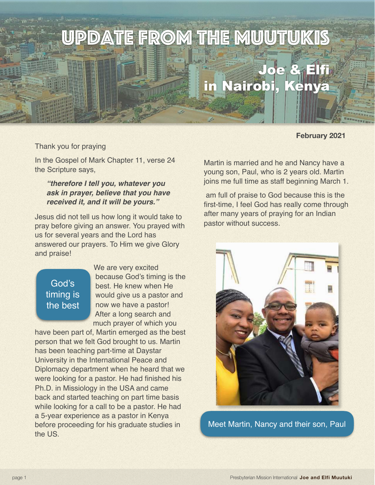# Update from the Muutukis Joe & Elfi

### **February 2021**

Thank you for praying

In the Gospel of Mark Chapter 11, verse 24 the Scripture says,

#### *"therefore I tell you, whatever you ask in prayer, believe that you have received it, and it will be yours."*

Jesus did not tell us how long it would take to pray before giving an answer. You prayed with us for several years and the Lord has answered our prayers. To Him we give Glory and praise!

## God's timing is the best

We are very excited because God's timing is the best. He knew when He would give us a pastor and now we have a pastor! After a long search and much prayer of which you

have been part of, Martin emerged as the best person that we felt God brought to us. Martin has been teaching part-time at Daystar University in the International Peace and Diplomacy department when he heard that we were looking for a pastor. He had finished his Ph.D. in Missiology in the USA and came back and started teaching on part time basis while looking for a call to be a pastor. He had a 5-year experience as a pastor in Kenya before proceeding for his graduate studies in the US.

Martin is married and he and Nancy have a young son, Paul, who is 2 years old. Martin joins me full time as staff beginning March 1.

in Nairobi, Kenya

 am full of praise to God because this is the first-time, I feel God has really come through after many years of praying for an Indian pastor without success.



Meet Martin, Nancy and their son, Paul